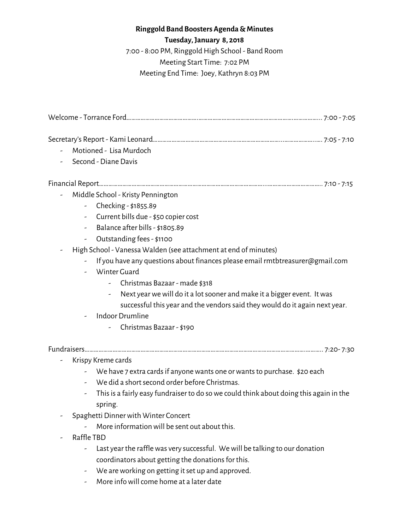## **Ringgold Band Boosters Agenda &Minutes**

**Tuesday,January 8, 2018**

7:00 - 8:00 PM, Ringgold High School - Band Room Meeting Start Time: 7:02 PM Meeting End Time: Joey, Kathryn 8:03 PM

|   | Motioned - Lisa Murdoch                                                                |
|---|----------------------------------------------------------------------------------------|
|   | Second - Diane Davis                                                                   |
|   |                                                                                        |
| - | Middle School - Kristy Pennington                                                      |
|   | - Checking - \$1855.89                                                                 |
|   | Current bills due - \$50 copier cost                                                   |
|   | Balance after bills - \$1805.89<br>$\overline{\phantom{0}}$                            |
|   | Outstanding fees - \$1100                                                              |
|   | High School - Vanessa Walden (see attachment at end of minutes)                        |
|   | If you have any questions about finances please email rmtbtreasurer@gmail.com          |
|   | - Winter Guard                                                                         |
|   | Christmas Bazaar - made \$318                                                          |
|   | Next year we will do it a lot sooner and make it a bigger event. It was                |
|   | successful this year and the vendors said they would do it again next year.            |
|   | Indoor Drumline                                                                        |
|   | Christmas Bazaar - \$190                                                               |
|   |                                                                                        |
|   | Krispy Kreme cards                                                                     |
|   | - We have 7 extra cards if anyone wants one or wants to purchase. \$20 each            |
|   | - We did a short second order before Christmas.                                        |
|   | This is a fairly easy fundraiser to do so we could think about doing this again in the |
|   | spring.                                                                                |
|   | Spaghetti Dinner with Winter Concert                                                   |
|   | More information will be sent out about this.                                          |
|   | Raffle TBD                                                                             |
|   | Last year the raffle was very successful. We will be talking to our donation           |
|   | coordinators about getting the donations for this.                                     |

- We are working on getting it set up and approved.
- More info will come home at a later date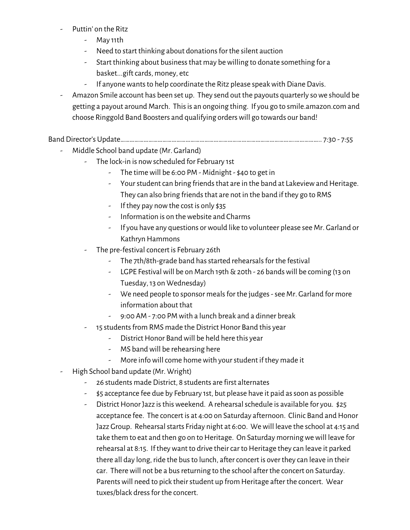- Puttin' on the Ritz
	- May 11th
	- Need to start thinking about donations for the silent auction
	- Start thinking about business that may be willing to donate something for a basket...gift cards, money, etc
	- If anyone wants to help coordinate the Ritz please speak with Diane Davis.
- Amazon Smile account has been set up. They send out the payouts quarterly sowe should be getting a payout around March. This is an ongoing thing. If you go to smile.amazon.com and choose Ringgold Band Boosters and qualifying orderswill go towards our band!

Band Director's Update………………………………………………………………………………………………….…………….. 7:30 - 7:55

- Middle School band update (Mr. Garland)
	- The lock-in is now scheduled for February 1st
		- The time will be 6:00 PM Midnight  $$40$  to get in
		- Your student can bring friends that are in the band at Lakeview and Heritage. They can also bring friends that are not in the band if they go to RMS
		- If they pay nowthe cost is only \$35
		- Information is on thewebsite and Charms
		- If you have any questions orwould like to volunteer please see Mr. Garland or Kathryn Hammons
	- The pre-festival concert is February 26th
		- The 7th/8th-grade band has started rehearsals for the festival
		- LGPE Festival will be on March 19th  $\&$  20th 26 bands will be coming (13 on Tuesday,13 on Wednesday)
		- We need people to sponsor meals for the judges see Mr. Garland for more information about that
		- 9:00 AM 7:00 PM with a lunch break and a dinner break
	- 15 students from RMS made the District Honor Band this year
		- District Honor Band will be held here this year
		- MS band will be rehearsing here
		- More info will come home with your student if they made it
- High School band update (Mr. Wright)
	- 26 students made District, 8 students are first alternates
	- \$5 acceptance fee due by February 1st, but please have it paid assoon as possible
	- District Honor Jazz is this weekend. A rehearsal schedule is available for you. \$25 acceptance fee. The concert is at 4:00 on Saturday afternoon. Clinic Band and Honor Jazz Group. Rehearsal starts Friday night at 6:00. We will leave the school at 4:15 and take them to eat and then go on to Heritage. On Saturday morning we will leave for rehearsal at 8:15. If they want to drive their car to Heritage they can leave it parked there all day long, ride the bus to lunch, after concert is over they can leave in their car. There will not be a bus returning to the school after the concert on Saturday. Parents will need to pick their student up from Heritage after the concert. Wear tuxes/black dress for the concert.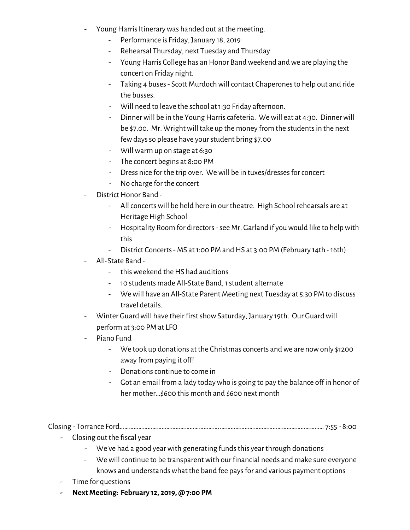- Young Harris Itinerary was handed out at the meeting.
	- Performance is Friday, January 18, 2019
	- Rehearsal Thursday, next Tuesday and Thursday
	- Young Harris College has an Honor Band weekend and we are playing the concert on Friday night.
	- Taking 4 buses Scott Murdoch will contact Chaperones to help out and ride the busses.
	- Will need to leave the school at 1:30 Friday afternoon.
	- Dinner will be in the Young Harris cafeteria. We will eat at 4:30. Dinner will be \$7.00. Mr. Wright will take up the money from the students in the next fewdaysso please have yourstudent bring \$7.00
	- Willwarm up on stage at 6:30
	- The concert begins at 8:00 PM
	- Dress nice for the trip over. We will be in tuxes/dresses for concert
	- No charge for the concert
- District Honor Band -
	- All concerts will be held here in our theatre. High School rehearsals are at Heritage High School
	- Hospitality Room for directors-see Mr. Garland if youwould like to helpwith this
	- District Concerts MS at 1:00 PM and HS at 3:00 PM (February 14th 16th)
- All-State Band
	- this weekend the HS had auditions
	- 10 students made All-State Band,1student alternate
	- Wewill have an All-State Parent Meeting next Tuesday at 5:30 PM to discuss travel details.
- Winter Guard will have their first show Saturday, January 19th. Our Guard will perform at 3:00 PM at LFO
- Piano Fund
	- We took up donations at the Christmas concerts and we are now only \$1200 away from paying it off!
	- Donations continue to come in
	- Got an email from a lady todaywho is going to pay the balance off in honor of her mother…\$600 this month and \$600 next month

Closing - Torrance Ford………………………………………………………..………………………………………………………… 7:55 - 8:00

- Closing out the fiscal year
	- We've had a good year with generating funds this year through donations
	- We will continue to be transparent with our financial needs and make sure everyone knows and understandswhat the band fee paysfor and various payment options
- Time for questions
- **- NextMeeting: February 12, 2019, @ 7:00 PM**